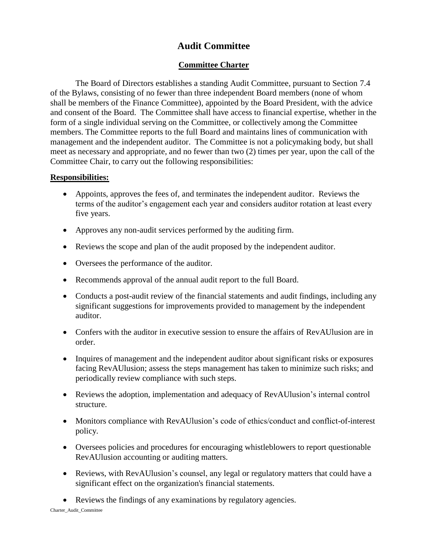## **Audit Committee**

## **Committee Charter**

The Board of Directors establishes a standing Audit Committee, pursuant to Section 7.4 of the Bylaws, consisting of no fewer than three independent Board members (none of whom shall be members of the Finance Committee), appointed by the Board President, with the advice and consent of the Board. The Committee shall have access to financial expertise, whether in the form of a single individual serving on the Committee, or collectively among the Committee members. The Committee reports to the full Board and maintains lines of communication with management and the independent auditor. The Committee is not a policymaking body, but shall meet as necessary and appropriate, and no fewer than two (2) times per year, upon the call of the Committee Chair, to carry out the following responsibilities:

## **Responsibilities:**

- Appoints, approves the fees of, and terminates the independent auditor. Reviews the terms of the auditor's engagement each year and considers auditor rotation at least every five years.
- Approves any non-audit services performed by the auditing firm.
- Reviews the scope and plan of the audit proposed by the independent auditor.
- Oversees the performance of the auditor.
- Recommends approval of the annual audit report to the full Board.
- Conducts a post-audit review of the financial statements and audit findings, including any significant suggestions for improvements provided to management by the independent auditor.
- Confers with the auditor in executive session to ensure the affairs of RevAU lusion are in order.
- Inquires of management and the independent auditor about significant risks or exposures facing RevAUlusion; assess the steps management has taken to minimize such risks; and periodically review compliance with such steps.
- Reviews the adoption, implementation and adequacy of RevAUlusion's internal control structure.
- Monitors compliance with RevAUlusion's code of ethics/conduct and conflict-of-interest policy.
- Oversees policies and procedures for encouraging whistleblowers to report questionable RevAUlusion accounting or auditing matters.
- Reviews, with RevAU lusion's counsel, any legal or regulatory matters that could have a significant effect on the organization's financial statements.
- Reviews the findings of any examinations by regulatory agencies.